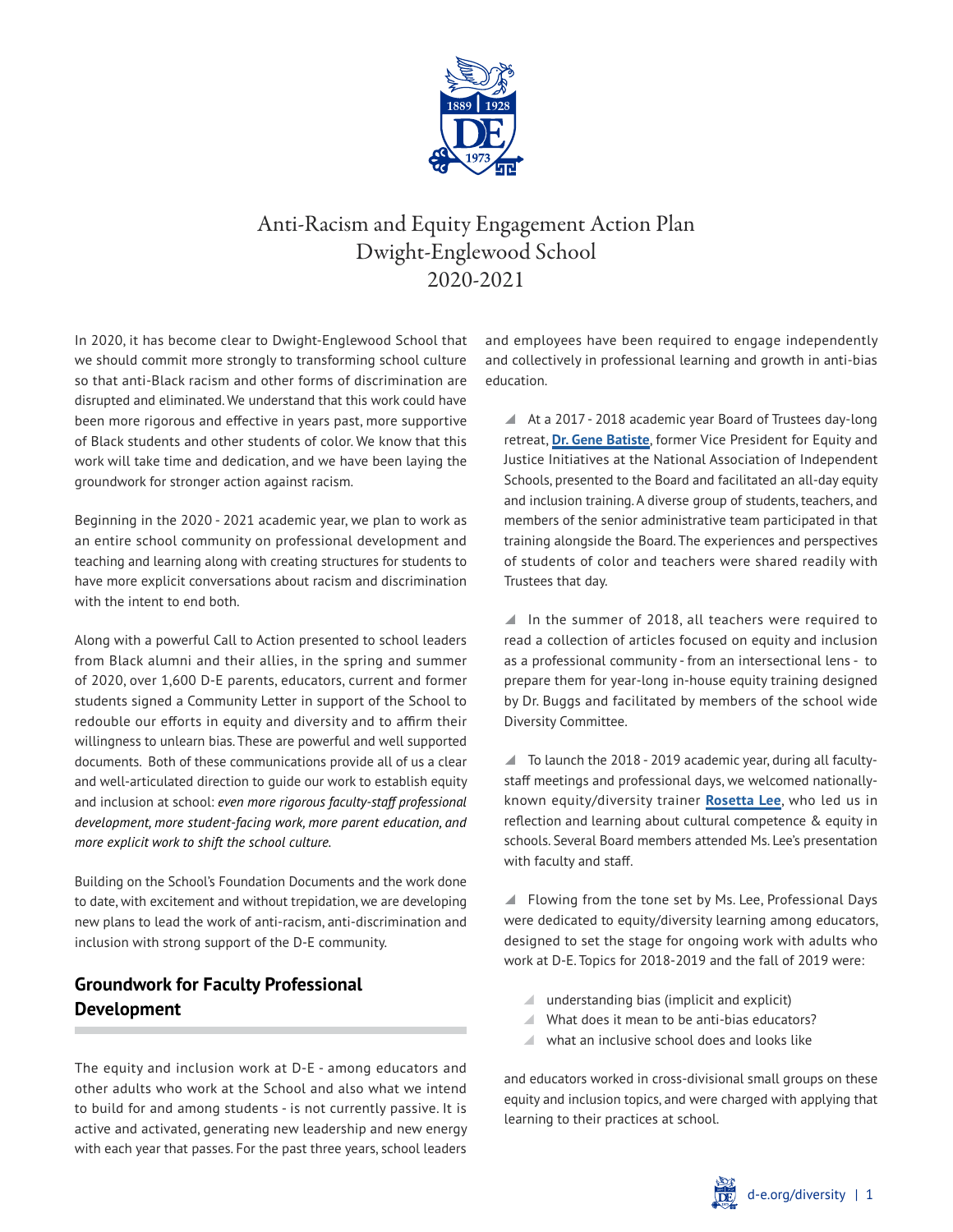

# Anti-Racism and Equity Engagement Action Plan Dwight-Englewood School 2020-2021

In 2020, it has become clear to Dwight-Englewood School that we should commit more strongly to transforming school culture so that anti-Black racism and other forms of discrimination are disrupted and eliminated. We understand that this work could have been more rigorous and effective in years past, more supportive of Black students and other students of color. We know that this work will take time and dedication, and we have been laying the groundwork for stronger action against racism.

Beginning in the 2020 - 2021 academic year, we plan to work as an entire school community on professional development and teaching and learning along with creating structures for students to have more explicit conversations about racism and discrimination with the intent to end both.

Along with a powerful Call to Action presented to school leaders from Black alumni and their allies, in the spring and summer of 2020, over 1,600 D-E parents, educators, current and former students signed a Community Letter in support of the School to redouble our efforts in equity and diversity and to affirm their willingness to unlearn bias. These are powerful and well supported documents. Both of these communications provide all of us a clear and well-articulated direction to guide our work to establish equity and inclusion at school: *even more rigorous faculty-staff professional development, more student-facing work, more parent education, and more explicit work to shift the school culture.*

Building on the School's Foundation Documents and the work done to date, with excitement and without trepidation, we are developing new plans to lead the work of anti-racism, anti-discrimination and inclusion with strong support of the D-E community.

## **Groundwork for Faculty Professional Development**

The equity and inclusion work at D-E - among educators and other adults who work at the School and also what we intend to build for and among students - is not currently passive. It is active and activated, generating new leadership and new energy with each year that passes. For the past three years, school leaders

and employees have been required to engage independently and collectively in professional learning and growth in anti-bias education.

▲ At a 2017 - 2018 academic year Board of Trustees day-long retreat, **[Dr. Gene Batiste](https://www.genebatisteconsulting.com/)**, former Vice President for Equity and Justice Initiatives at the National Association of Independent Schools, presented to the Board and facilitated an all-day equity and inclusion training. A diverse group of students, teachers, and members of the senior administrative team participated in that training alongside the Board. The experiences and perspectives of students of color and teachers were shared readily with Trustees that day.

 $\blacksquare$  In the summer of 2018, all teachers were required to read a collection of articles focused on equity and inclusion as a professional community - from an intersectional lens - to prepare them for year-long in-house equity training designed by Dr. Buggs and facilitated by members of the school wide Diversity Committee.

 $\blacksquare$  To launch the 2018 - 2019 academic year, during all facultystaff meetings and professional days, we welcomed nationallyknown equity/diversity trainer **[Rosetta Lee](https://about.me/rosetta.lee)**, who led us in reflection and learning about cultural competence & equity in schools. Several Board members attended Ms. Lee's presentation with faculty and staff.

■ Flowing from the tone set by Ms. Lee, Professional Days were dedicated to equity/diversity learning among educators, designed to set the stage for ongoing work with adults who work at D-E. Topics for 2018-2019 and the fall of 2019 were:

- $\blacksquare$  understanding bias (implicit and explicit)
- \ What does it mean to be anti-bias educators?
- $\blacksquare$  what an inclusive school does and looks like

and educators worked in cross-divisional small groups on these equity and inclusion topics, and were charged with applying that learning to their practices at school.

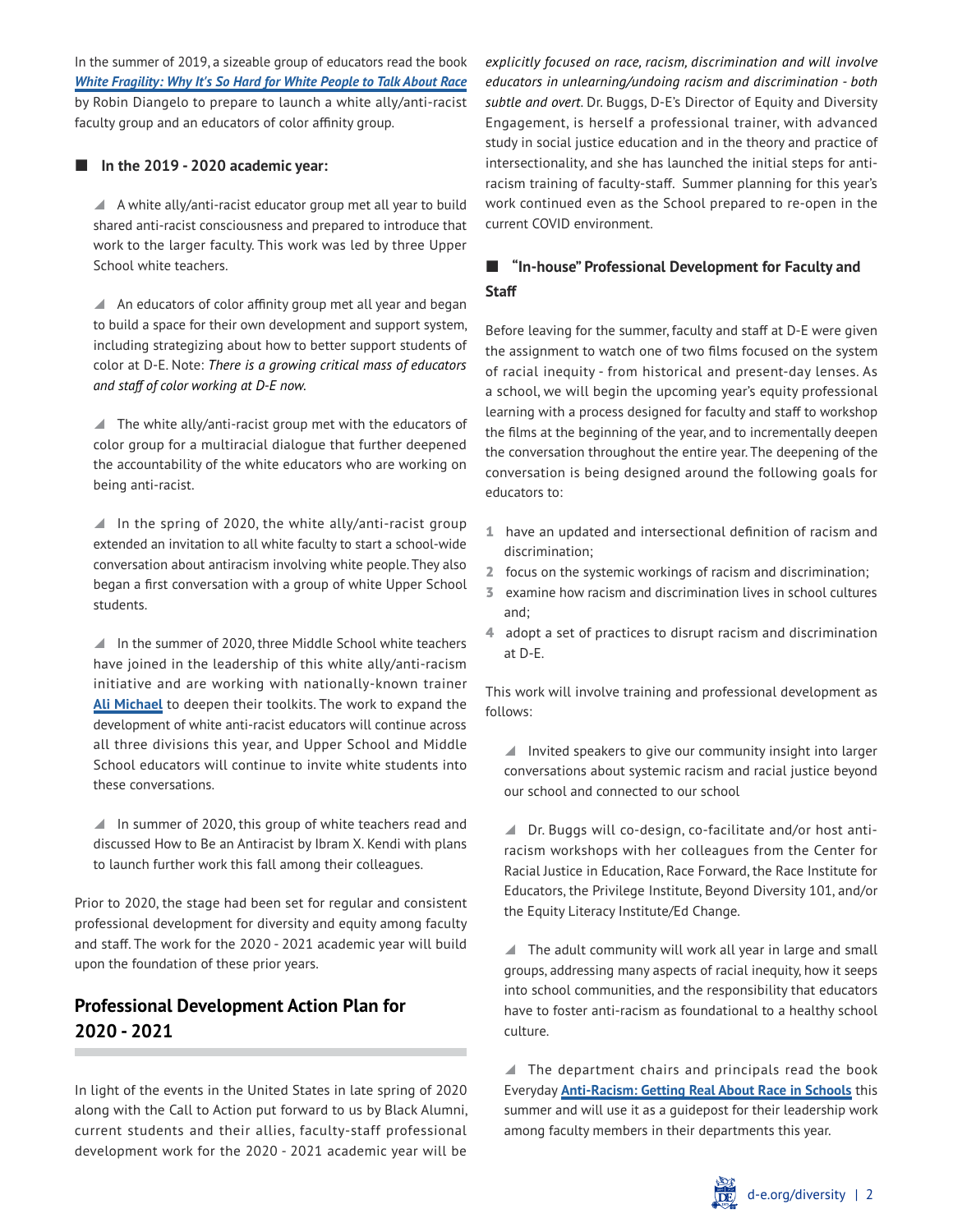In the summer of 2019, a sizeable group of educators read the book *[White Fragility: Why It's So Hard for White People to Talk About Race](https://www.google.com/books/edition/White_Fragility/ZfQ3DwAAQBAJ?hl=en&gbpv=0)*  by Robin Diangelo to prepare to launch a white ally/anti-racist faculty group and an educators of color affinity group.

#### ■ In the 2019 - 2020 academic year:

 $\blacktriangle$  A white ally/anti-racist educator group met all year to build shared anti-racist consciousness and prepared to introduce that work to the larger faculty. This work was led by three Upper School white teachers.

A An educators of color affinity group met all year and began to build a space for their own development and support system, including strategizing about how to better support students of color at D-E. Note: *There is a growing critical mass of educators and staff of color working at D-E now.*

 $\blacksquare$  The white ally/anti-racist group met with the educators of color group for a multiracial dialogue that further deepened the accountability of the white educators who are working on being anti-racist.

 $\blacksquare$  In the spring of 2020, the white ally/anti-racist group extended an invitation to all white faculty to start a school-wide conversation about antiracism involving white people. They also began a first conversation with a group of white Upper School students.

■ In the summer of 2020, three Middle School white teachers have joined in the leadership of this white ally/anti-racism initiative and are working with nationally-known trainer **[Ali Michael](https://www.youtube.com/watch?v=hxXMf5K1W6E)** to deepen their toolkits. The work to expand the development of white anti-racist educators will continue across all three divisions this year, and Upper School and Middle School educators will continue to invite white students into these conversations.

 $\blacksquare$  In summer of 2020, this group of white teachers read and discussed How to Be an Antiracist by Ibram X. Kendi with plans to launch further work this fall among their colleagues.

Prior to 2020, the stage had been set for regular and consistent professional development for diversity and equity among faculty and staff. The work for the 2020 - 2021 academic year will build upon the foundation of these prior years.

## **Professional Development Action Plan for 2020 - 2021**

In light of the events in the United States in late spring of 2020 along with the Call to Action put forward to us by Black Alumni, current students and their allies, faculty-staff professional development work for the 2020 - 2021 academic year will be

*explicitly focused on race, racism, discrimination and will involve educators in unlearning/undoing racism and discrimination - both subtle and overt*. Dr. Buggs, D-E's Director of Equity and Diversity Engagement, is herself a professional trainer, with advanced study in social justice education and in the theory and practice of intersectionality, and she has launched the initial steps for antiracism training of faculty-staff. Summer planning for this year's work continued even as the School prepared to re-open in the current COVID environment.

### **"In-house" Professional Development for Faculty and Staff**

Before leaving for the summer, faculty and staff at D-E were given the assignment to watch one of two films focused on the system of racial inequity - from historical and present-day lenses. As a school, we will begin the upcoming year's equity professional learning with a process designed for faculty and staff to workshop the films at the beginning of the year, and to incrementally deepen the conversation throughout the entire year. The deepening of the conversation is being designed around the following goals for educators to:

- 1 have an updated and intersectional definition of racism and discrimination;
- 2 focus on the systemic workings of racism and discrimination;
- 3 examine how racism and discrimination lives in school cultures and;
- 4 adopt a set of practices to disrupt racism and discrimination at D-E.

This work will involve training and professional development as follows:

 $\blacksquare$  Invited speakers to give our community insight into larger conversations about systemic racism and racial justice beyond our school and connected to our school

▲ Dr. Buggs will co-design, co-facilitate and/or host antiracism workshops with her colleagues from the Center for Racial Justice in Education, Race Forward, the Race Institute for Educators, the Privilege Institute, Beyond Diversity 101, and/or the Equity Literacy Institute/Ed Change.

 $\blacktriangle$  The adult community will work all year in large and small groups, addressing many aspects of racial inequity, how it seeps into school communities, and the responsibility that educators have to foster anti-racism as foundational to a healthy school culture.

 $\blacktriangle$  The department chairs and principals read the book Everyday **[Anti-Racism: Getting Real About Race in Schools](https://thenewpress.com/books/everyday-antiracism)** this summer and will use it as a guidepost for their leadership work among faculty members in their departments this year.

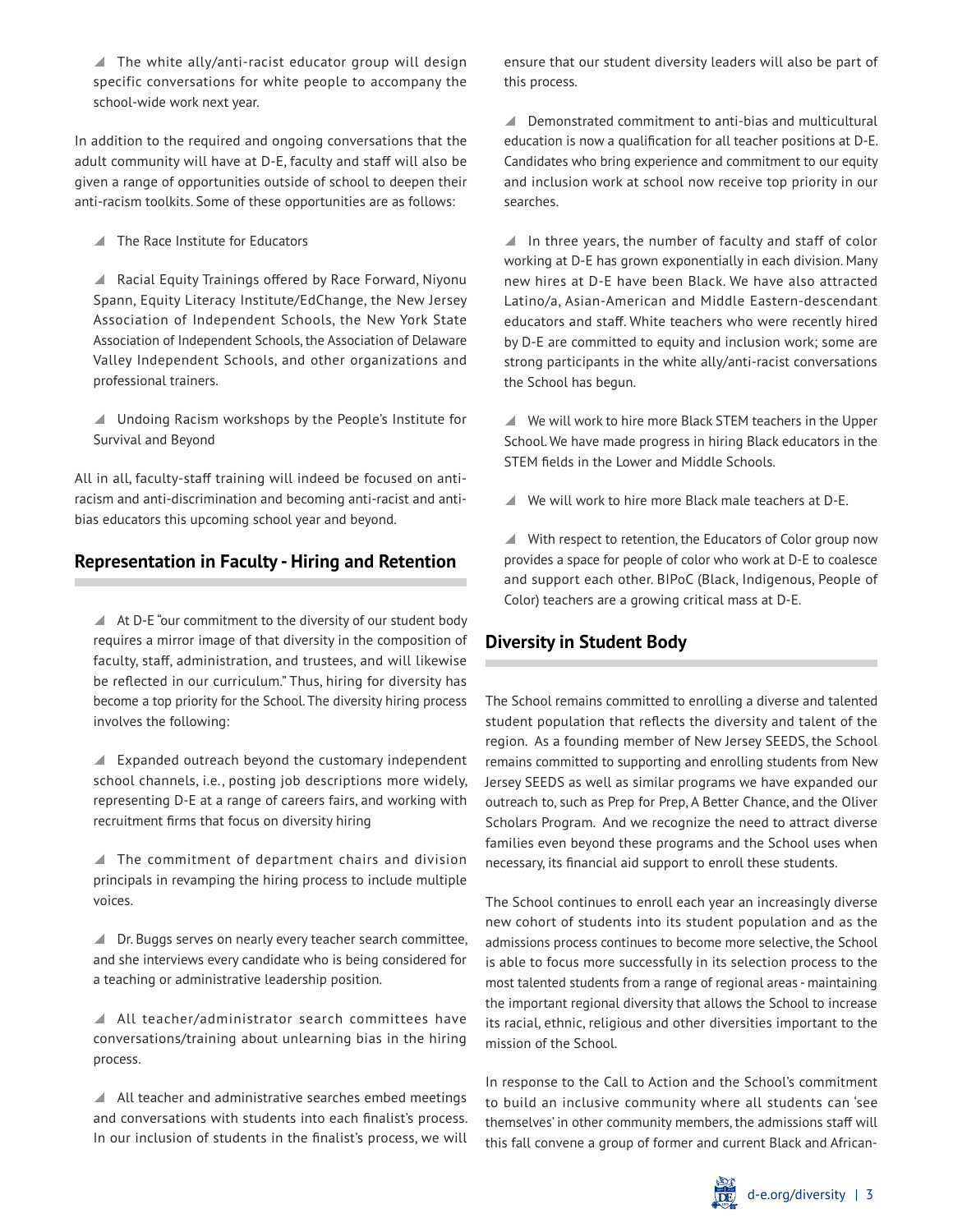$\blacksquare$  The white ally/anti-racist educator group will design specific conversations for white people to accompany the school-wide work next year.

In addition to the required and ongoing conversations that the adult community will have at D-E, faculty and staff will also be given a range of opportunities outside of school to deepen their anti-racism toolkits. Some of these opportunities are as follows:

 $\blacksquare$  The Race Institute for Educators

▲ Racial Equity Trainings offered by Race Forward, Niyonu Spann, Equity Literacy Institute/EdChange, the New Jersey Association of Independent Schools, the New York State Association of Independent Schools, the Association of Delaware Valley Independent Schools, and other organizations and professional trainers.

▲ Undoing Racism workshops by the People's Institute for Survival and Beyond

All in all, faculty-staff training will indeed be focused on antiracism and anti-discrimination and becoming anti-racist and antibias educators this upcoming school year and beyond.

## **Representation in Faculty - Hiring and Retention**

 $\blacktriangle$  At D-E "our commitment to the diversity of our student body requires a mirror image of that diversity in the composition of faculty, staff, administration, and trustees, and will likewise be reflected in our curriculum." Thus, hiring for diversity has become a top priority for the School. The diversity hiring process involves the following:

\ Expanded outreach beyond the customary independent school channels, i.e., posting job descriptions more widely, representing D-E at a range of careers fairs, and working with recruitment firms that focus on diversity hiring

 $\blacktriangle$  The commitment of department chairs and division principals in revamping the hiring process to include multiple voices.

▲ Dr. Buggs serves on nearly every teacher search committee, and she interviews every candidate who is being considered for a teaching or administrative leadership position.

All teacher/administrator search committees have conversations/training about unlearning bias in the hiring process.

 $\blacktriangle$  All teacher and administrative searches embed meetings and conversations with students into each finalist's process. In our inclusion of students in the finalist's process, we will ensure that our student diversity leaders will also be part of this process.

 $\blacktriangle$  Demonstrated commitment to anti-bias and multicultural education is now a qualification for all teacher positions at D-E. Candidates who bring experience and commitment to our equity and inclusion work at school now receive top priority in our searches.

 $\blacksquare$  In three years, the number of faculty and staff of color working at D-E has grown exponentially in each division. Many new hires at D-E have been Black. We have also attracted Latino/a, Asian-American and Middle Eastern-descendant educators and staff. White teachers who were recently hired by D-E are committed to equity and inclusion work; some are strong participants in the white ally/anti-racist conversations the School has begun.

 $\blacktriangle$  We will work to hire more Black STEM teachers in the Upper School. We have made progress in hiring Black educators in the STEM fields in the Lower and Middle Schools.

 $\blacksquare$  We will work to hire more Black male teachers at D-E.

▲ With respect to retention, the Educators of Color group now provides a space for people of color who work at D-E to coalesce and support each other. BIPoC (Black, Indigenous, People of Color) teachers are a growing critical mass at D-E.

### **Diversity in Student Body**

The School remains committed to enrolling a diverse and talented student population that reflects the diversity and talent of the region. As a founding member of New Jersey SEEDS, the School remains committed to supporting and enrolling students from New Jersey SEEDS as well as similar programs we have expanded our outreach to, such as Prep for Prep, A Better Chance, and the Oliver Scholars Program. And we recognize the need to attract diverse families even beyond these programs and the School uses when necessary, its financial aid support to enroll these students.

The School continues to enroll each year an increasingly diverse new cohort of students into its student population and as the admissions process continues to become more selective, the School is able to focus more successfully in its selection process to the most talented students from a range of regional areas - maintaining the important regional diversity that allows the School to increase its racial, ethnic, religious and other diversities important to the mission of the School.

In response to the Call to Action and the School's commitment to build an inclusive community where all students can 'see themselves' in other community members, the admissions staff will this fall convene a group of former and current Black and African-

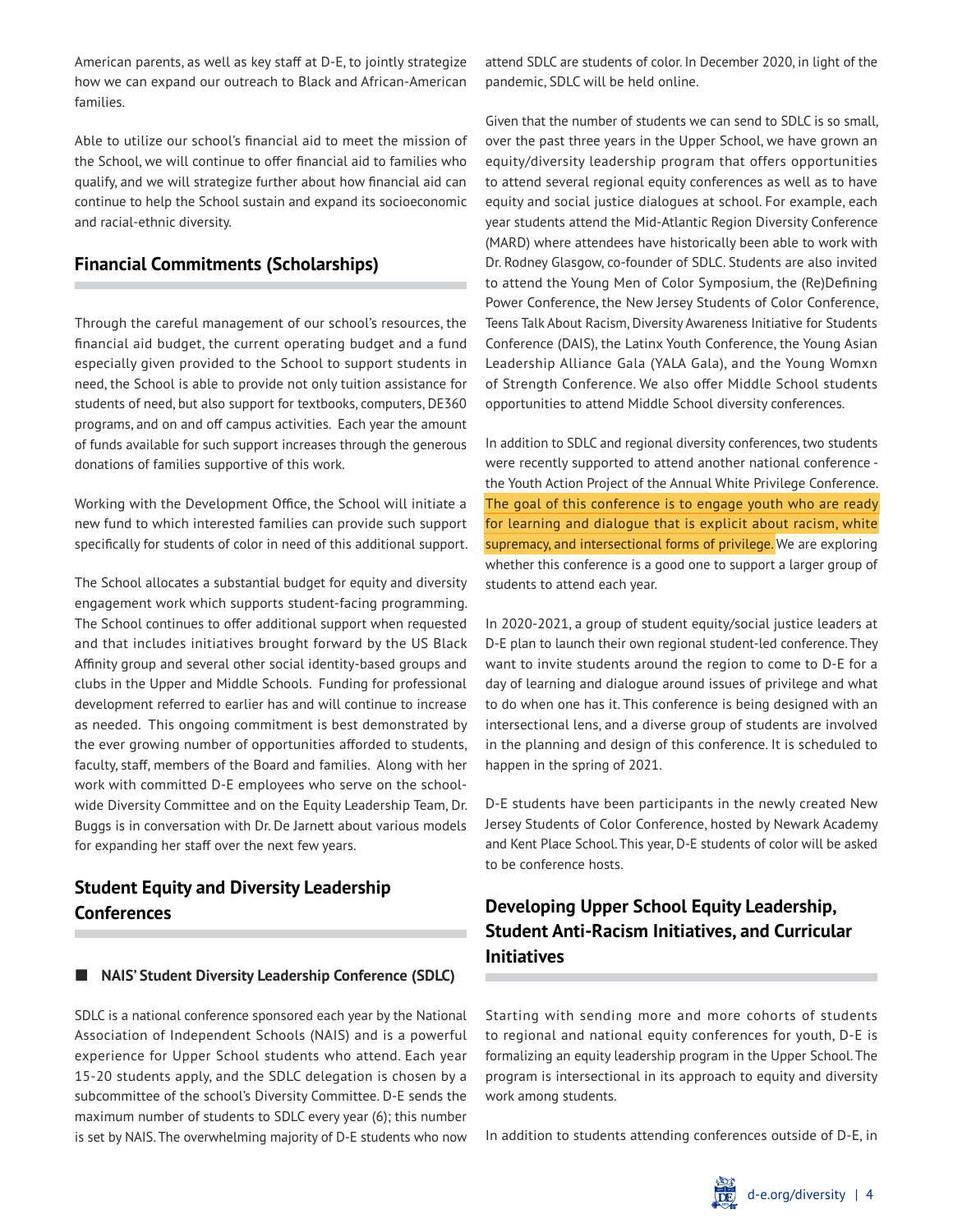American parents, as well as key staff at D-E, to jointly strategize how we can expand our outreach to Black and African-American families.

Able to utilize our school's financial aid to meet the mission of the School, we will continue to offer financial aid to families who qualify, and we will strategize further about how financial aid can continue to help the School sustain and expand its socioeconomic and racial-ethnic diversity.

### **Financial Commitments (Scholarships)**

Through the careful management of our school's resources, the financial aid budget, the current operating budget and a fund especially given provided to the School to support students in need, the School is able to provide not only tuition assistance for students of need, but also support for textbooks, computers, DE360 programs, and on and off campus activities. Each year the amount of funds available for such support increases through the generous donations of families supportive of this work.

Working with the Development Office, the School will initiate a new fund to which interested families can provide such support specifically for students of color in need of this additional support.

The School allocates a substantial budget for equity and diversity engagement work which supports student-facing programming. The School continues to offer additional support when requested and that includes initiatives brought forward by the US Black Affinity group and several other social identity-based groups and clubs in the Upper and Middle Schools. Funding for professional development referred to earlier has and will continue to increase as needed. This ongoing commitment is best demonstrated by the ever growing number of opportunities afforded to students, faculty, staff, members of the Board and families. Along with her work with committed D-E employees who serve on the schoolwide Diversity Committee and on the Equity Leadership Team, Dr. Buggs is in conversation with Dr. De Jarnett about various models for expanding her staff over the next few years.

## **Student Equity and Diversity Leadership Conferences**

#### **NAIS' Student Diversity Leadership Conference (SDLC)**

SDLC is a national conference sponsored each year by the National Association of Independent Schools (NAIS) and is a powerful experience for Upper School students who attend. Each year 15-20 students apply, and the SDLC delegation is chosen by a subcommittee of the school's Diversity Committee. D-E sends the maximum number of students to SDLC every year (6); this number is set by NAIS. The overwhelming majority of D-E students who now

attend SDLC are students of color. In December 2020, in light of the pandemic, SDLC will be held online.

Given that the number of students we can send to SDLC is so small, over the past three years in the Upper School, we have grown an equity/diversity leadership program that offers opportunities to attend several regional equity conferences as well as to have equity and social justice dialogues at school. For example, each year students attend the Mid-Atlantic Region Diversity Conference (MARD) where attendees have historically been able to work with Dr. Rodney Glasgow, co-founder of SDLC. Students are also invited to attend the Young Men of Color Symposium, the (Re)Defining Power Conference, the New Jersey Students of Color Conference, Teens Talk About Racism, Diversity Awareness Initiative for Students Conference (DAIS), the Latinx Youth Conference, the Young Asian Leadership Alliance Gala (YALA Gala), and the Young Womxn of Strength Conference. We also offer Middle School students opportunities to attend Middle School diversity conferences.

In addition to SDLC and regional diversity conferences, two students were recently supported to attend another national conference the Youth Action Project of the Annual White Privilege Conference. The goal of this conference is to engage youth who are ready for learning and dialogue that is explicit about racism, white supremacy, and intersectional forms of privilege. We are exploring whether this conference is a good one to support a larger group of students to attend each year.

In 2020-2021, a group of student equity/social justice leaders at D-E plan to launch their own regional student-led conference. They want to invite students around the region to come to D-E for a day of learning and dialogue around issues of privilege and what to do when one has it. This conference is being designed with an intersectional lens, and a diverse group of students are involved in the planning and design of this conference. It is scheduled to happen in the spring of 2021.

D-E students have been participants in the newly created New Jersey Students of Color Conference, hosted by Newark Academy and Kent Place School. This year, D-E students of color will be asked to be conference hosts.

## **Developing Upper School Equity Leadership, Student Anti-Racism Initiatives, and Curricular Initiatives**

Starting with sending more and more cohorts of students to regional and national equity conferences for youth, D-E is formalizing an equity leadership program in the Upper School. The program is intersectional in its approach to equity and diversity work among students.

In addition to students attending conferences outside of D-E, in

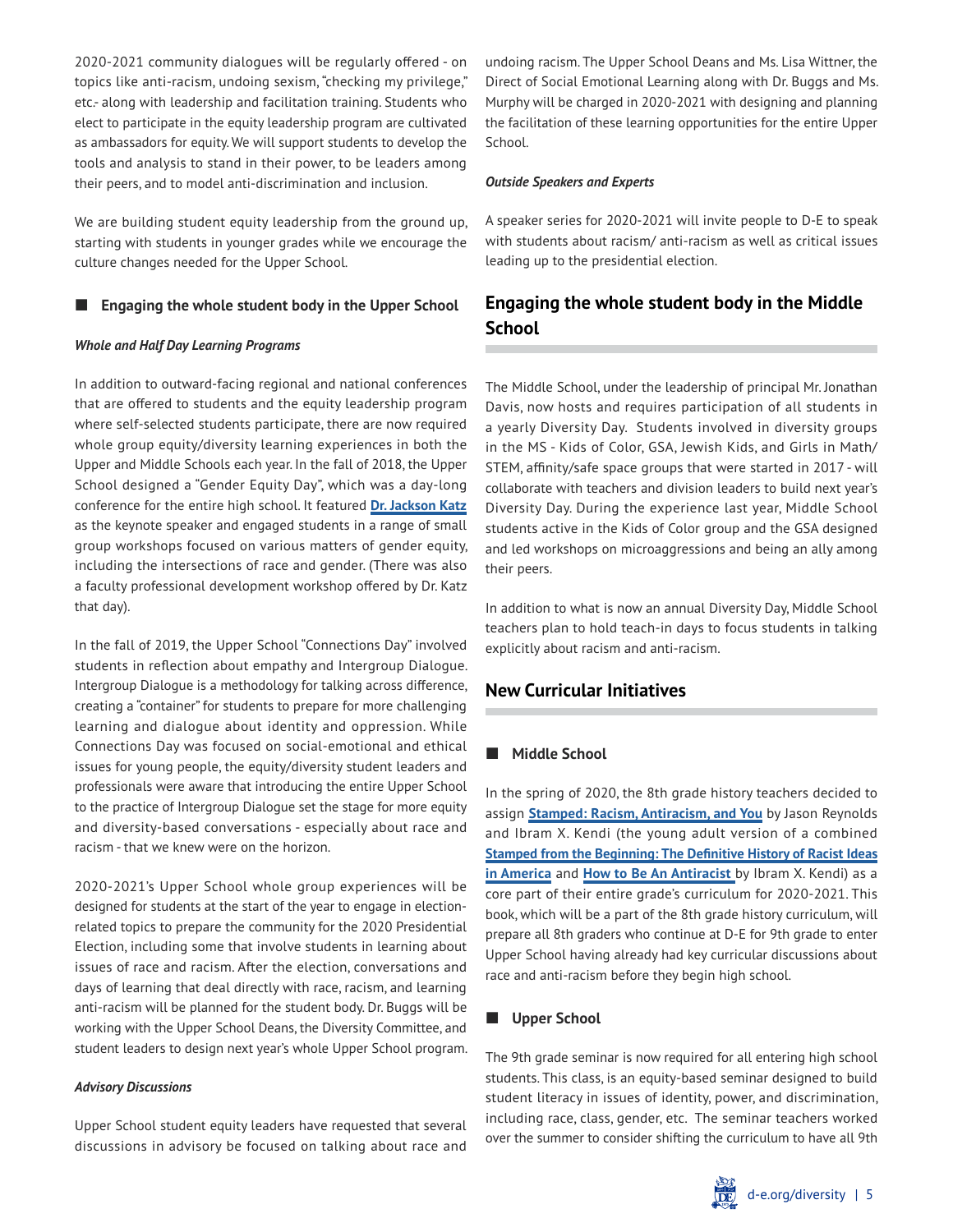2020-2021 community dialogues will be regularly offered - on topics like anti-racism, undoing sexism, "checking my privilege," etc.- along with leadership and facilitation training. Students who elect to participate in the equity leadership program are cultivated as ambassadors for equity. We will support students to develop the tools and analysis to stand in their power, to be leaders among their peers, and to model anti-discrimination and inclusion.

We are building student equity leadership from the ground up, starting with students in younger grades while we encourage the culture changes needed for the Upper School.

#### **Engaging the whole student body in the Upper School**

#### *Whole and Half Day Learning Programs*

In addition to outward-facing regional and national conferences that are offered to students and the equity leadership program where self-selected students participate, there are now required whole group equity/diversity learning experiences in both the Upper and Middle Schools each year. In the fall of 2018, the Upper School designed a "Gender Equity Day", which was a day-long conference for the entire high school. It featured **[Dr. Jackson Katz](https://www.jacksonkatz.com/)** as the keynote speaker and engaged students in a range of small group workshops focused on various matters of gender equity, including the intersections of race and gender. (There was also a faculty professional development workshop offered by Dr. Katz that day).

In the fall of 2019, the Upper School "Connections Day" involved students in reflection about empathy and Intergroup Dialogue. Intergroup Dialogue is a methodology for talking across difference, creating a "container" for students to prepare for more challenging learning and dialogue about identity and oppression. While Connections Day was focused on social-emotional and ethical issues for young people, the equity/diversity student leaders and professionals were aware that introducing the entire Upper School to the practice of Intergroup Dialogue set the stage for more equity and diversity-based conversations - especially about race and racism - that we knew were on the horizon.

2020-2021's Upper School whole group experiences will be designed for students at the start of the year to engage in electionrelated topics to prepare the community for the 2020 Presidential Election, including some that involve students in learning about issues of race and racism. After the election, conversations and days of learning that deal directly with race, racism, and learning anti-racism will be planned for the student body. Dr. Buggs will be working with the Upper School Deans, the Diversity Committee, and student leaders to design next year's whole Upper School program.

#### *Advisory Discussions*

Upper School student equity leaders have requested that several discussions in advisory be focused on talking about race and undoing racism. The Upper School Deans and Ms. Lisa Wittner, the Direct of Social Emotional Learning along with Dr. Buggs and Ms. Murphy will be charged in 2020-2021 with designing and planning the facilitation of these learning opportunities for the entire Upper School.

#### *Outside Speakers and Experts*

A speaker series for 2020-2021 will invite people to D-E to speak with students about racism/ anti-racism as well as critical issues leading up to the presidential election.

## **Engaging the whole student body in the Middle School**

The Middle School, under the leadership of principal Mr. Jonathan Davis, now hosts and requires participation of all students in a yearly Diversity Day. Students involved in diversity groups in the MS - Kids of Color, GSA, Jewish Kids, and Girls in Math/ STEM, affinity/safe space groups that were started in 2017 - will collaborate with teachers and division leaders to build next year's Diversity Day. During the experience last year, Middle School students active in the Kids of Color group and the GSA designed and led workshops on microaggressions and being an ally among their peers.

In addition to what is now an annual Diversity Day, Middle School teachers plan to hold teach-in days to focus students in talking explicitly about racism and anti-racism.

### **New Curricular Initiatives**

#### **Middle School**

In the spring of 2020, the 8th grade history teachers decided to assign **[Stamped: Racism, Antiracism, and You](https://www.goodreads.com/book/show/52220686-stamped)** by Jason Reynolds and Ibram X. Kendi (the young adult version of a combined **[Stamped from the Beginning: The Definitive History of Racist Ideas](https://www.goodreads.com/book/show/25898216-stamped-from-the-beginning) [in America](https://www.goodreads.com/book/show/25898216-stamped-from-the-beginning)** and **[How to Be An Antiracist](https://www.goodreads.com/book/show/40265832-how-to-be-an-antiracist?from_search=true&from_srp=true&qid=qLten4lcey&rank=1)** by Ibram X. Kendi) as a core part of their entire grade's curriculum for 2020-2021. This book, which will be a part of the 8th grade history curriculum, will prepare all 8th graders who continue at D-E for 9th grade to enter Upper School having already had key curricular discussions about race and anti-racism before they begin high school.

#### **Upper School**

The 9th grade seminar is now required for all entering high school students. This class, is an equity-based seminar designed to build student literacy in issues of identity, power, and discrimination, including race, class, gender, etc. The seminar teachers worked over the summer to consider shifting the curriculum to have all 9th

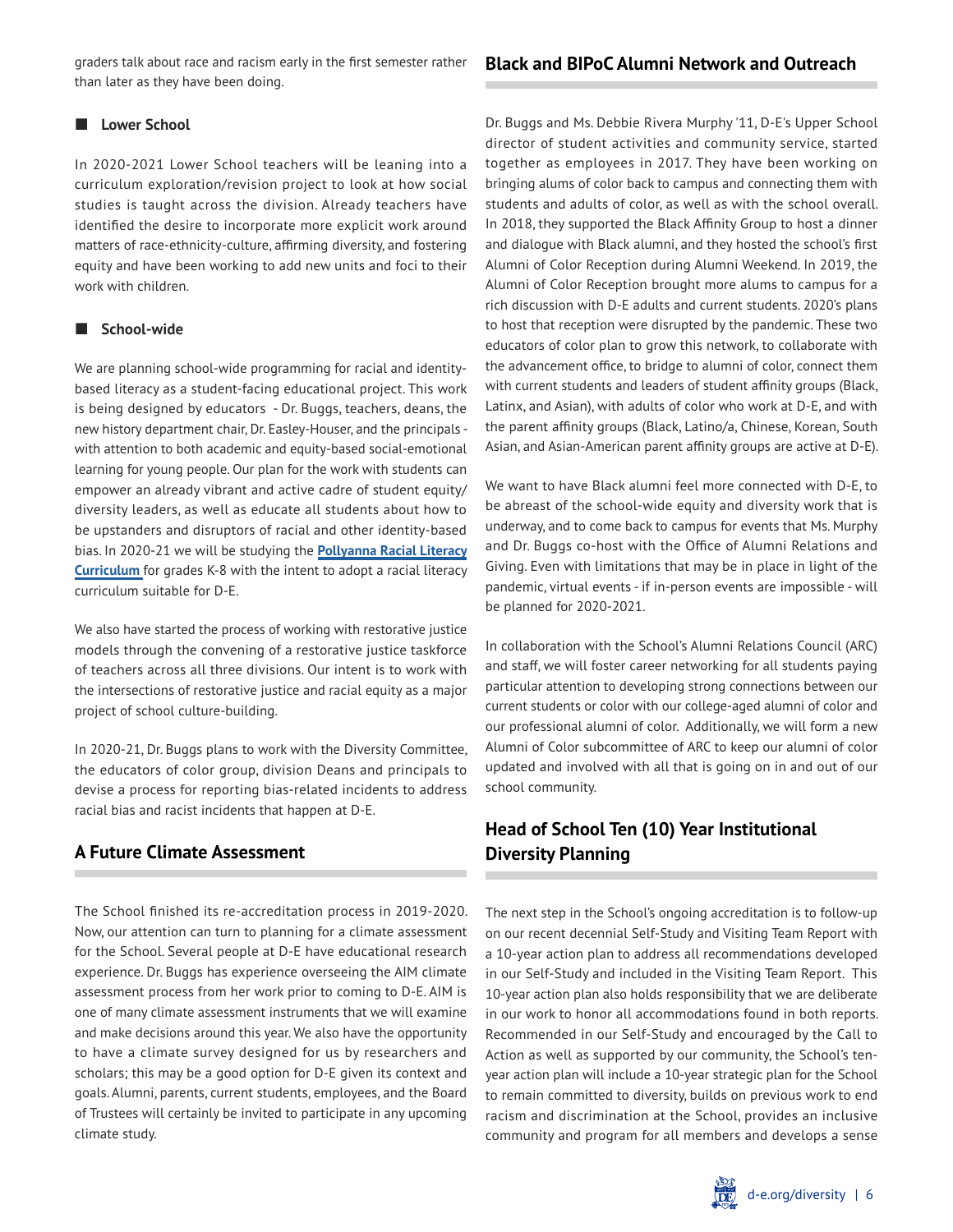graders talk about race and racism early in the first semester rather than later as they have been doing.

#### **Lower School**

In 2020-2021 Lower School teachers will be leaning into a curriculum exploration/revision project to look at how social studies is taught across the division. Already teachers have identified the desire to incorporate more explicit work around matters of race-ethnicity-culture, affirming diversity, and fostering equity and have been working to add new units and foci to their work with children.

#### **School-wide**

We are planning school-wide programming for racial and identitybased literacy as a student-facing educational project. This work is being designed by educators - Dr. Buggs, teachers, deans, the new history department chair, Dr. Easley-Houser, and the principals with attention to both academic and equity-based social-emotional learning for young people. Our plan for the work with students can empower an already vibrant and active cadre of student equity/ diversity leaders, as well as educate all students about how to be upstanders and disruptors of racial and other identity-based bias. In 2020-21 we will be studying the **[Pollyanna Racial Literacy](https://pollyannaincrlc.org/)  [Curriculum](https://pollyannaincrlc.org/)** for grades K-8 with the intent to adopt a racial literacy curriculum suitable for D-E.

We also have started the process of working with restorative justice models through the convening of a restorative justice taskforce of teachers across all three divisions. Our intent is to work with the intersections of restorative justice and racial equity as a major project of school culture-building.

In 2020-21, Dr. Buggs plans to work with the Diversity Committee, the educators of color group, division Deans and principals to devise a process for reporting bias-related incidents to address racial bias and racist incidents that happen at D-E.

## **A Future Climate Assessment**

The School finished its re-accreditation process in 2019-2020. Now, our attention can turn to planning for a climate assessment for the School. Several people at D-E have educational research experience. Dr. Buggs has experience overseeing the AIM climate assessment process from her work prior to coming to D-E. AIM is one of many climate assessment instruments that we will examine and make decisions around this year. We also have the opportunity to have a climate survey designed for us by researchers and scholars; this may be a good option for D-E given its context and goals. Alumni, parents, current students, employees, and the Board of Trustees will certainly be invited to participate in any upcoming climate study.

Dr. Buggs and Ms. Debbie Rivera Murphy '11, D-E's Upper School director of student activities and community service, started together as employees in 2017. They have been working on bringing alums of color back to campus and connecting them with students and adults of color, as well as with the school overall. In 2018, they supported the Black Affinity Group to host a dinner and dialogue with Black alumni, and they hosted the school's first Alumni of Color Reception during Alumni Weekend. In 2019, the Alumni of Color Reception brought more alums to campus for a rich discussion with D-E adults and current students. 2020's plans to host that reception were disrupted by the pandemic. These two educators of color plan to grow this network, to collaborate with the advancement office, to bridge to alumni of color, connect them with current students and leaders of student affinity groups (Black, Latinx, and Asian), with adults of color who work at D-E, and with the parent affinity groups (Black, Latino/a, Chinese, Korean, South Asian, and Asian-American parent affinity groups are active at D-E).

We want to have Black alumni feel more connected with D-E, to be abreast of the school-wide equity and diversity work that is underway, and to come back to campus for events that Ms. Murphy and Dr. Buggs co-host with the Office of Alumni Relations and Giving. Even with limitations that may be in place in light of the pandemic, virtual events - if in-person events are impossible - will be planned for 2020-2021.

In collaboration with the School's Alumni Relations Council (ARC) and staff, we will foster career networking for all students paying particular attention to developing strong connections between our current students or color with our college-aged alumni of color and our professional alumni of color. Additionally, we will form a new Alumni of Color subcommittee of ARC to keep our alumni of color updated and involved with all that is going on in and out of our school community.

# **Head of School Ten (10) Year Institutional Diversity Planning**

The next step in the School's ongoing accreditation is to follow-up on our recent decennial Self-Study and Visiting Team Report with a 10-year action plan to address all recommendations developed in our Self-Study and included in the Visiting Team Report. This 10-year action plan also holds responsibility that we are deliberate in our work to honor all accommodations found in both reports. Recommended in our Self-Study and encouraged by the Call to Action as well as supported by our community, the School's tenyear action plan will include a 10-year strategic plan for the School to remain committed to diversity, builds on previous work to end racism and discrimination at the School, provides an inclusive community and program for all members and develops a sense